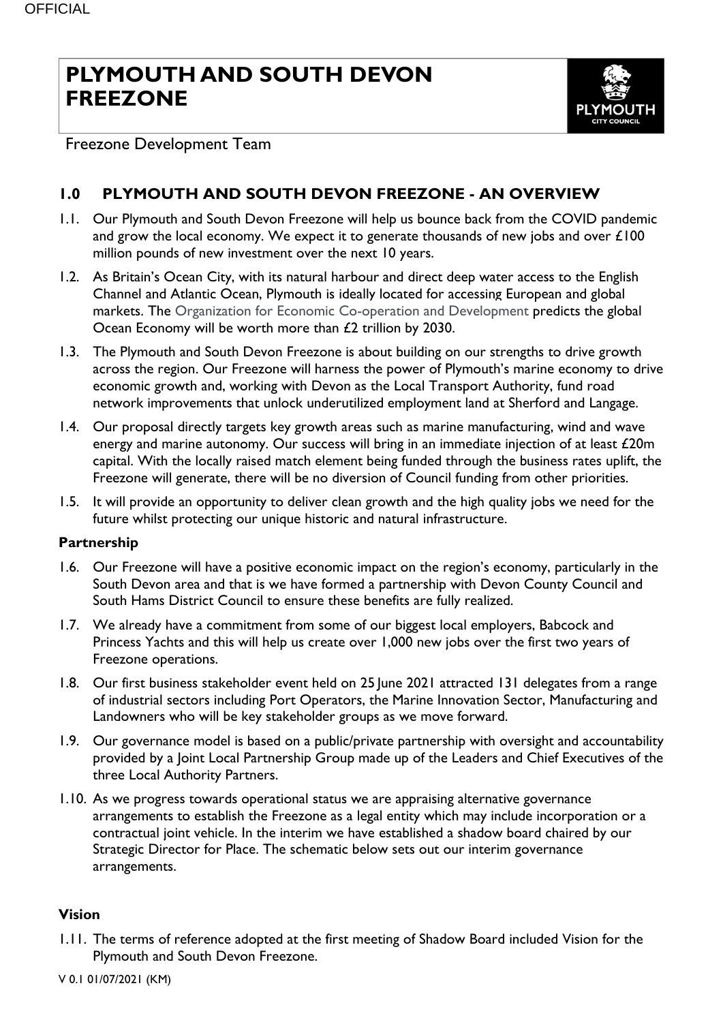## **PLYMOUTH AND SOUTH DEVON FREEZONE**



Freezone Development Team

### **1.0 PLYMOUTH AND SOUTH DEVON FREEZONE - AN OVERVIEW**

- 1.1. Our Plymouth and South Devon Freezone will help us bounce back from the COVID pandemic and grow the local economy. We expect it to generate thousands of new jobs and over £100 million pounds of new investment over the next 10 years.
- 1.2. As Britain's Ocean City, with its natural harbour and direct deep water access to the English Channel and Atlantic Ocean, Plymouth is ideally located for accessing European and global markets. The Organization for Economic Co-operation and Development predicts the global Ocean Economy will be worth more than £2 trillion by 2030.
- 1.3. The Plymouth and South Devon Freezone is about building on our strengths to drive growth across the region. Our Freezone will harness the power of Plymouth's marine economy to drive economic growth and, working with Devon as the Local Transport Authority, fund road network improvements that unlock underutilized employment land at Sherford and Langage.
- 1.4. Our proposal directly targets key growth areas such as marine manufacturing, wind and wave energy and marine autonomy. Our success will bring in an immediate injection of at least £20m capital. With the locally raised match element being funded through the business rates uplift, the Freezone will generate, there will be no diversion of Council funding from other priorities.
- 1.5. It will provide an opportunity to deliver clean growth and the high quality jobs we need for the future whilst protecting our unique historic and natural infrastructure.

#### **Partnership**

- 1.6. Our Freezone will have a positive economic impact on the region's economy, particularly in the South Devon area and that is we have formed a partnership with Devon County Council and South Hams District Council to ensure these benefits are fully realized.
- 1.7. We already have a commitment from some of our biggest local employers, Babcock and Princess Yachts and this will help us create over 1,000 new jobs over the first two years of Freezone operations.
- 1.8. Our first business stakeholder event held on 25 June 2021 attracted 131 delegates from a range of industrial sectors including Port Operators, the Marine Innovation Sector, Manufacturing and Landowners who will be key stakeholder groups as we move forward.
- 1.9. Our governance model is based on a public/private partnership with oversight and accountability provided by a Joint Local Partnership Group made up of the Leaders and Chief Executives of the three Local Authority Partners.
- 1.10. As we progress towards operational status we are appraising alternative governance arrangements to establish the Freezone as a legal entity which may include incorporation or a contractual joint vehicle. In the interim we have established a shadow board chaired by our Strategic Director for Place. The schematic below sets out our interim governance arrangements.

#### **Vision**

1.11. The terms of reference adopted at the first meeting of Shadow Board included Vision for the Plymouth and South Devon Freezone.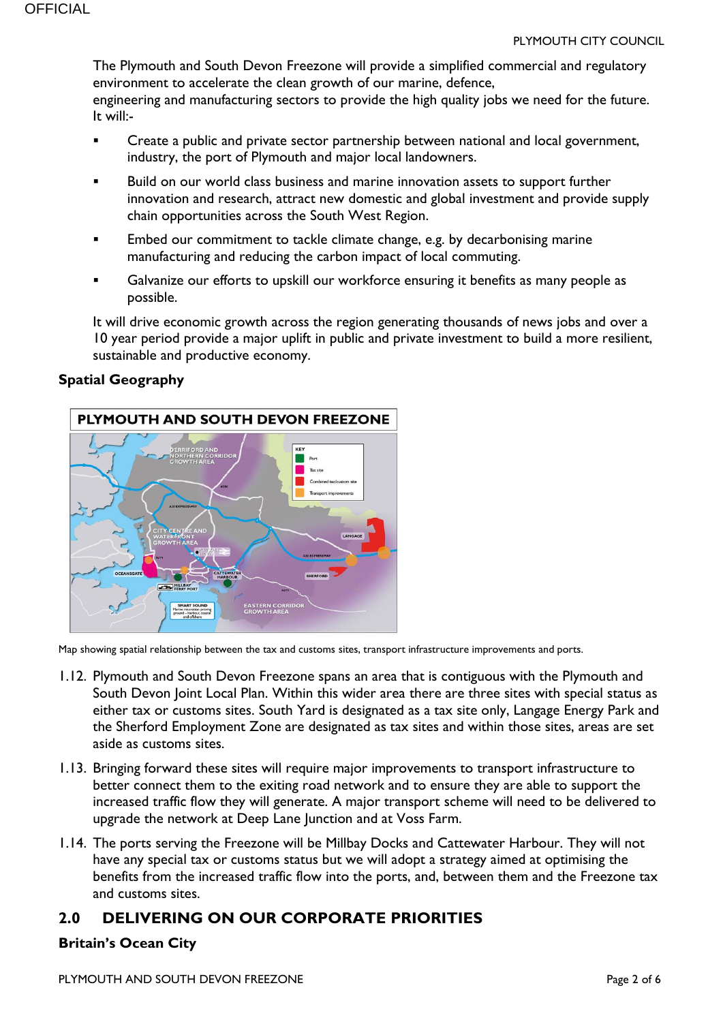The Plymouth and South Devon Freezone will provide a simplified commercial and regulatory environment to accelerate the clean growth of our marine, defence, engineering and manufacturing sectors to provide the high quality jobs we need for the future. It will:-

- Create a public and private sector partnership between national and local government, industry, the port of Plymouth and major local landowners.
- Build on our world class business and marine innovation assets to support further innovation and research, attract new domestic and global investment and provide supply chain opportunities across the South West Region.
- Embed our commitment to tackle climate change, e.g. by decarbonising marine manufacturing and reducing the carbon impact of local commuting.
- Galvanize our efforts to upskill our workforce ensuring it benefits as many people as possible.

It will drive economic growth across the region generating thousands of news jobs and over a 10 year period provide a major uplift in public and private investment to build a more resilient, sustainable and productive economy.

#### **Spatial Geography**



Map showing spatial relationship between the tax and customs sites, transport infrastructure improvements and ports.

- 1.12. Plymouth and South Devon Freezone spans an area that is contiguous with the Plymouth and South Devon Joint Local Plan. Within this wider area there are three sites with special status as either tax or customs sites. South Yard is designated as a tax site only, Langage Energy Park and the Sherford Employment Zone are designated as tax sites and within those sites, areas are set aside as customs sites.
- 1.13. Bringing forward these sites will require major improvements to transport infrastructure to better connect them to the exiting road network and to ensure they are able to support the increased traffic flow they will generate. A major transport scheme will need to be delivered to upgrade the network at Deep Lane Junction and at Voss Farm.
- 1.14. The ports serving the Freezone will be Millbay Docks and Cattewater Harbour. They will not have any special tax or customs status but we will adopt a strategy aimed at optimising the benefits from the increased traffic flow into the ports, and, between them and the Freezone tax and customs sites.

#### **2.0 DELIVERING ON OUR CORPORATE PRIORITIES**

#### **Britain's Ocean City**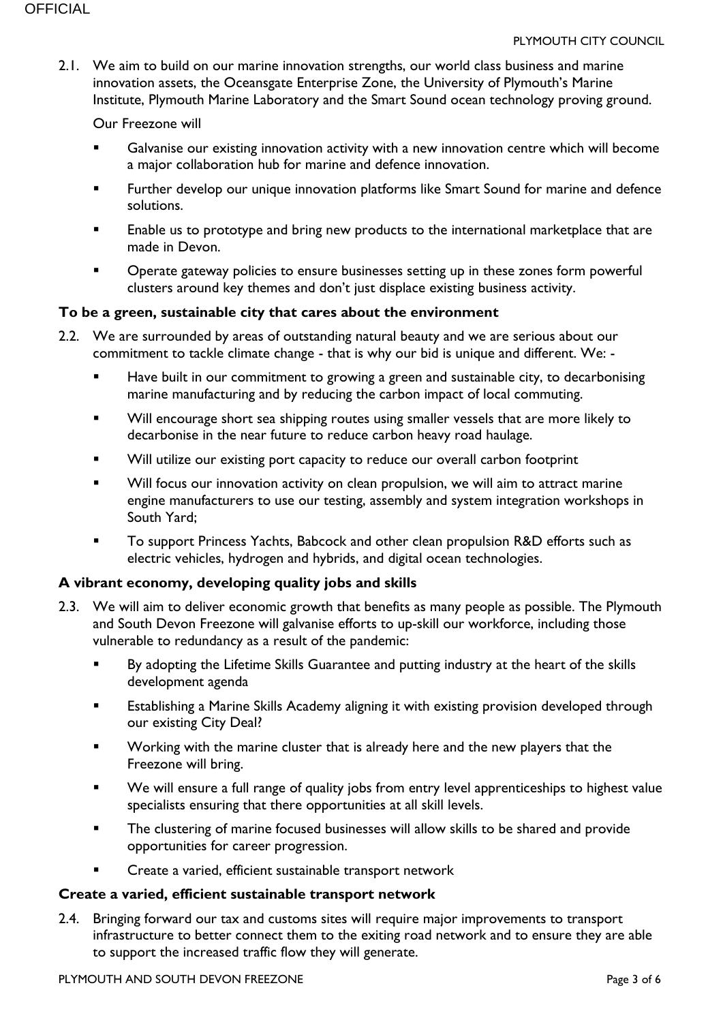2.1. We aim to build on our marine innovation strengths, our world class business and marine innovation assets, the Oceansgate Enterprise Zone, the University of Plymouth's Marine Institute, Plymouth Marine Laboratory and the Smart Sound ocean technology proving ground.

#### Our Freezone will

- **Galvanise our existing innovation activity with a new innovation centre which will become** a major collaboration hub for marine and defence innovation.
- Further develop our unique innovation platforms like Smart Sound for marine and defence solutions.
- **Enable us to prototype and bring new products to the international marketplace that are** made in Devon.
- Operate gateway policies to ensure businesses setting up in these zones form powerful clusters around key themes and don't just displace existing business activity.

#### **To be a green, sustainable city that cares about the environment**

- 2.2. We are surrounded by areas of outstanding natural beauty and we are serious about our commitment to tackle climate change - that is why our bid is unique and different. We: -
	- Have built in our commitment to growing a green and sustainable city, to decarbonising marine manufacturing and by reducing the carbon impact of local commuting.
	- **Will encourage short sea shipping routes using smaller vessels that are more likely to** decarbonise in the near future to reduce carbon heavy road haulage.
	- Will utilize our existing port capacity to reduce our overall carbon footprint
	- Will focus our innovation activity on clean propulsion, we will aim to attract marine engine manufacturers to use our testing, assembly and system integration workshops in South Yard;
	- To support Princess Yachts, Babcock and other clean propulsion R&D efforts such as electric vehicles, hydrogen and hybrids, and digital ocean technologies.

#### **A vibrant economy, developing quality jobs and skills**

- 2.3. We will aim to deliver economic growth that benefits as many people as possible. The Plymouth and South Devon Freezone will galvanise efforts to up-skill our workforce, including those vulnerable to redundancy as a result of the pandemic:
	- By adopting the Lifetime Skills Guarantee and putting industry at the heart of the skills development agenda
	- Establishing a Marine Skills Academy aligning it with existing provision developed through our existing City Deal?
	- Working with the marine cluster that is already here and the new players that the Freezone will bring.
	- We will ensure a full range of quality jobs from entry level apprenticeships to highest value specialists ensuring that there opportunities at all skill levels.
	- The clustering of marine focused businesses will allow skills to be shared and provide opportunities for career progression.
	- Create a varied, efficient sustainable transport network

#### **Create a varied, efficient sustainable transport network**

2.4. Bringing forward our tax and customs sites will require major improvements to transport infrastructure to better connect them to the exiting road network and to ensure they are able to support the increased traffic flow they will generate.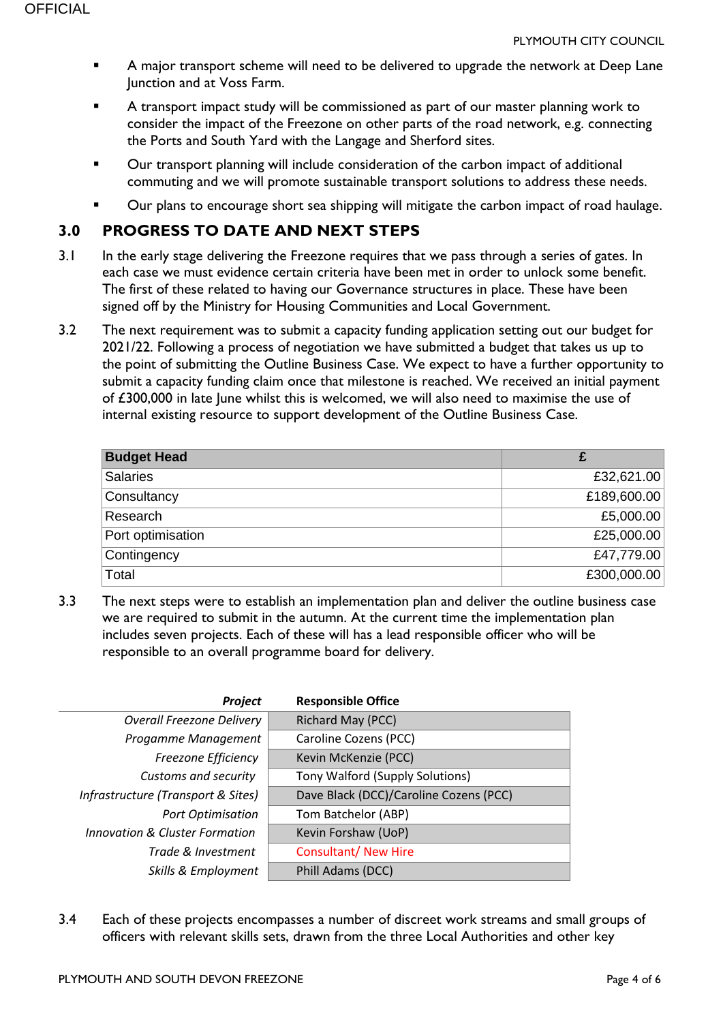- A major transport scheme will need to be delivered to upgrade the network at Deep Lane Junction and at Voss Farm.
- A transport impact study will be commissioned as part of our master planning work to consider the impact of the Freezone on other parts of the road network, e.g. connecting the Ports and South Yard with the Langage and Sherford sites.
- Our transport planning will include consideration of the carbon impact of additional commuting and we will promote sustainable transport solutions to address these needs.
- Our plans to encourage short sea shipping will mitigate the carbon impact of road haulage.

#### **3.0 PROGRESS TO DATE AND NEXT STEPS**

- 3.1 In the early stage delivering the Freezone requires that we pass through a series of gates. In each case we must evidence certain criteria have been met in order to unlock some benefit. The first of these related to having our Governance structures in place. These have been signed off by the Ministry for Housing Communities and Local Government.
- 3.2 The next requirement was to submit a capacity funding application setting out our budget for 2021/22. Following a process of negotiation we have submitted a budget that takes us up to the point of submitting the Outline Business Case. We expect to have a further opportunity to submit a capacity funding claim once that milestone is reached. We received an initial payment of £300,000 in late June whilst this is welcomed, we will also need to maximise the use of internal existing resource to support development of the Outline Business Case.

| <b>Budget Head</b> |             |
|--------------------|-------------|
| <b>Salaries</b>    | £32,621.00  |
| Consultancy        | £189,600.00 |
| Research           | £5,000.00   |
| Port optimisation  | £25,000.00  |
| Contingency        | £47,779.00  |
| Total              | £300,000.00 |

3.3 The next steps were to establish an implementation plan and deliver the outline business case we are required to submit in the autumn. At the current time the implementation plan includes seven projects. Each of these will has a lead responsible officer who will be responsible to an overall programme board for delivery.

| Project                                   | <b>Responsible Office</b>              |
|-------------------------------------------|----------------------------------------|
| <b>Overall Freezone Delivery</b>          | Richard May (PCC)                      |
| Progamme Management                       | Caroline Cozens (PCC)                  |
| Freezone Efficiency                       | Kevin McKenzie (PCC)                   |
| Customs and security                      | Tony Walford (Supply Solutions)        |
| Infrastructure (Transport & Sites)        | Dave Black (DCC)/Caroline Cozens (PCC) |
| <b>Port Optimisation</b>                  | Tom Batchelor (ABP)                    |
| <b>Innovation &amp; Cluster Formation</b> | Kevin Forshaw (UoP)                    |
| Trade & Investment                        | <b>Consultant/ New Hire</b>            |
| Skills & Employment                       | Phill Adams (DCC)                      |

3.4 Each of these projects encompasses a number of discreet work streams and small groups of officers with relevant skills sets, drawn from the three Local Authorities and other key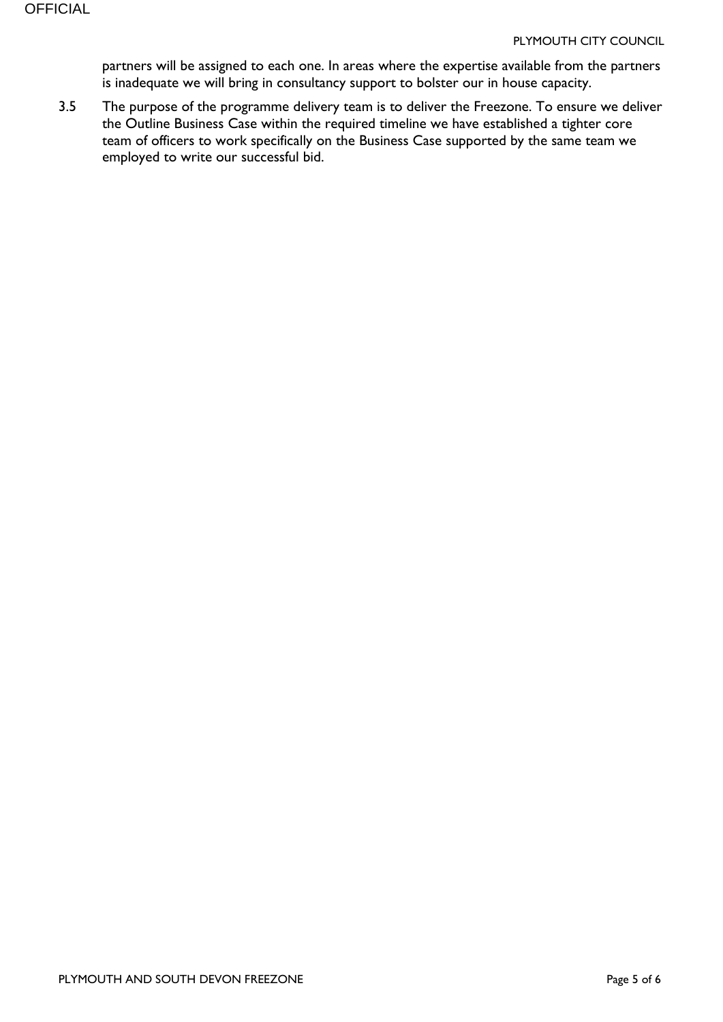partners will be assigned to each one. In areas where the expertise available from the partners is inadequate we will bring in consultancy support to bolster our in house capacity.

3.5 The purpose of the programme delivery team is to deliver the Freezone. To ensure we deliver the Outline Business Case within the required timeline we have established a tighter core team of officers to work specifically on the Business Case supported by the same team we employed to write our successful bid.